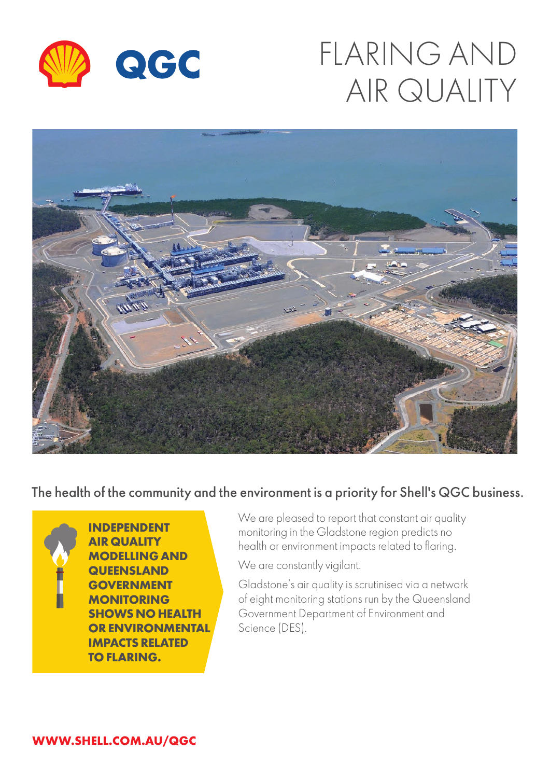

## FLARING AND AIR QUALITY



The health of the community and the environment is a priority for Shell's QGC business.



**INDEPENDENT AIR QUALITY MODELLING AND QUEENSLAND GOVERNMENT MONITORING SHOWS NO HEALTH OR ENVIRONMENTAL IMPACTS RELATED TO FLARING.**

We are pleased to report that constant air quality monitoring in the Gladstone region predicts no health or environment impacts related to flaring.

We are constantly vigilant.

Gladstone's air quality is scrutinised via a network of eight monitoring stations run by the Queensland Government Department of Environment and Science (DES).